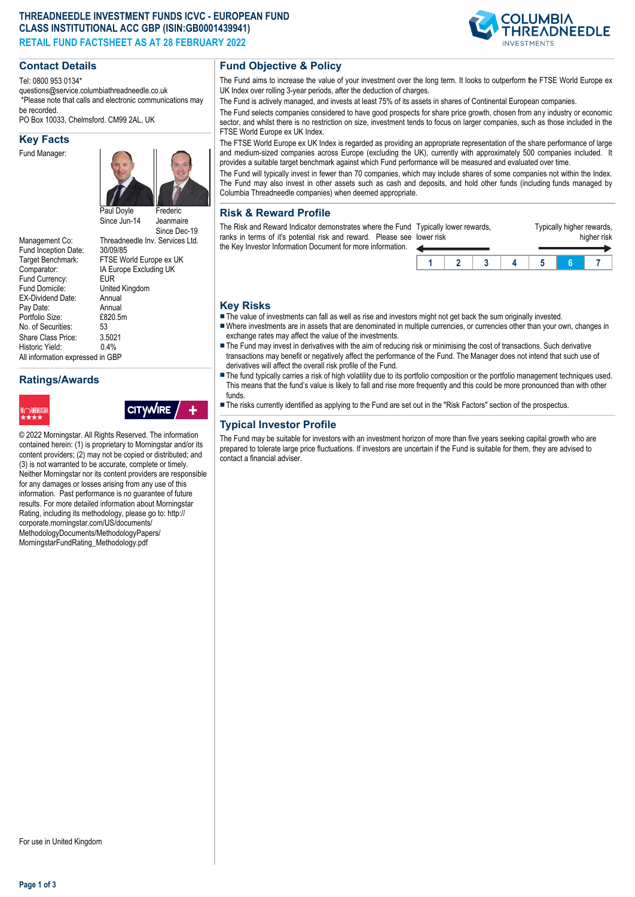## **THREADNEEDLE INVESTMENT FUNDS ICVC - EUROPEAN FUND CLASS INSTITUTIONAL ACC GBP (ISIN:GB0001439941) RETAIL FUND FACTSHEET AS AT 28 FEBRUARY 2022**

### **Contact Details**

Tel: 0800 953 0134\*

questions@service.columbiathreadneedle.co.uk \*Please note that calls and electronic communications may be recorded.

PO Box 10033, Chelmsford. CM99 2AL, UK

#### **Key Facts**

Fund Manager:



IA Europe Excluding UK<br>EUR

United Kingdom<br>Annual

Since Dec-19

Management Co: Threadneedle Inv. Services Ltd.<br>Fund Incention Date: 30/09/85 Fund Inception Date:<br>Target Benchmark: Target Benchmark: FTSE World Europe ex UK<br>Comparator: IA Europe Excluding UK Fund Currency:<br>Fund Domicile: EX-Dividend Date: Annual<br>Pav Date: Annual Pay Date: Annual<br>Portfolio Size: F820 5m Portfolio Size: £8<br>No. of Securities: 53 No. of Securities: Share Class Price: 3.5021<br>Historic Yield: 0.4% Historic Yield: All information expressed in GBP

# **Ratings/Awards**



**CITYWIRE** 

© 2022 Morningstar. All Rights Reserved. The information contained herein: (1) is proprietary to Morningstar and/or its content providers; (2) may not be copied or distributed; and (3) is not warranted to be accurate, complete or timely. Neither Morningstar nor its content providers are responsible for any damages or losses arising from any use of this information. Past performance is no guarantee of future results. For more detailed information about Morningstar Rating, including its methodology, please go to: http:// corporate.morningstar.com/US/documents/ MethodologyDocuments/MethodologyPapers/ MorningstarFundRating\_Methodology.pdf

## **Fund Objective & Policy**

The Fund aims to increase the value of your investment over the long term. It looks to outperform the FTSE World Europe ex UK Index over rolling 3-year periods, after the deduction of charges.

The Fund is actively managed, and invests at least 75% of its assets in shares of Continental European companies.

The Fund selects companies considered to have good prospects for share price growth, chosen from any industry or economic sector, and whilst there is no restriction on size, investment tends to focus on larger companies, such as those included in the FTSE World Europe ex UK Index.

The FTSE World Europe ex UK Index is regarded as providing an appropriate representation of the share performance of large and medium-sized companies across Europe (excluding the UK), currently with approximately 500 companies included. It provides a suitable target benchmark against which Fund performance will be measured and evaluated over time.

The Fund will typically invest in fewer than 70 companies, which may include shares of some companies not within the Index. The Fund may also invest in other assets such as cash and deposits, and hold other funds (including funds managed by Columbia Threadneedle companies) when deemed appropriate.

## **Risk & Reward Profile**

The Risk and Reward Indicator demonstrates where the Fund ranks in terms of it's potential risk and reward. Please see lower risk the Key Investor Information Document for more information.

| lower risk | Typically lower rewards, |  | Typically higher rewards,<br>higher risk |  |  |  |  |  |
|------------|--------------------------|--|------------------------------------------|--|--|--|--|--|
|            |                          |  |                                          |  |  |  |  |  |
|            |                          |  |                                          |  |  |  |  |  |

### **Key Risks**

- $\blacksquare$  The value of investments can fall as well as rise and investors might not get back the sum originally invested.
- nWhere investments are in assets that are denominated in multiple currencies, or currencies other than your own, changes in exchange rates may affect the value of the investments.
- The Fund may invest in derivatives with the aim of reducing risk or minimising the cost of transactions. Such derivative transactions may benefit or negatively affect the performance of the Fund. The Manager does not intend that such use of derivatives will affect the overall risk profile of the Fund.
- The fund typically carries a risk of high volatility due to its portfolio composition or the portfolio management techniques used. This means that the fund's value is likely to fall and rise more frequently and this could be more pronounced than with other funds.
- n The risks currently identified as applying to the Fund are set out in the "Risk Factors" section of the prospectus.

# **Typical Investor Profile**

The Fund may be suitable for investors with an investment horizon of more than five years seeking capital growth who are prepared to tolerate large price fluctuations. If investors are uncertain if the Fund is suitable for them, they are advised to contact a financial adviser.

**Page 1 of 3**

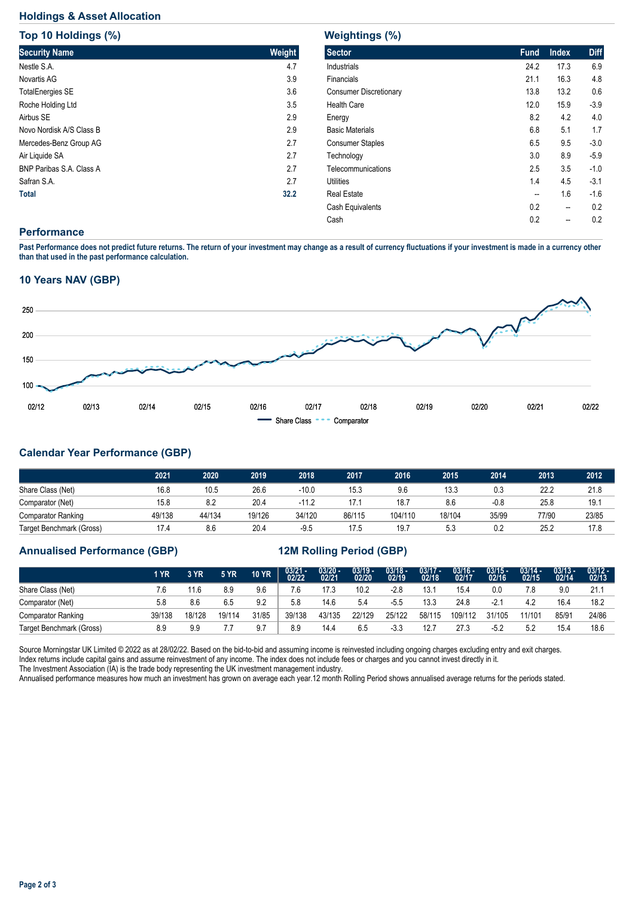## **Holdings & Asset Allocation**

**Top 10 Holdings (%)**

| <b>TOD 10 HOIGINGS (%)</b>      |        |
|---------------------------------|--------|
| <b>Security Name</b>            | Weight |
| Nestle S.A.                     | 4.7    |
| Novartis AG                     | 3.9    |
| <b>TotalEnergies SE</b>         | 3.6    |
| Roche Holding Ltd               | 3.5    |
| Airbus SE                       | 2.9    |
| Novo Nordisk A/S Class B        | 2.9    |
| Mercedes-Benz Group AG          | 2.7    |
| Air Liquide SA                  | 2.7    |
| <b>BNP Paribas S.A. Class A</b> | 2.7    |
| Safran S.A.                     | 2.7    |
| <b>Total</b>                    | 32.2   |

# **Weightings (%)**

| <b>Sector</b>                 | <b>Fund</b> | <b>Index</b> | <b>Diff</b> |
|-------------------------------|-------------|--------------|-------------|
| Industrials                   | 24.2        | 17.3         | 6.9         |
| Financials                    | 21.1        | 16.3         | 4.8         |
| <b>Consumer Discretionary</b> | 13.8        | 13.2         | 0.6         |
| <b>Health Care</b>            | 12.0        | 15.9         | $-3.9$      |
| Energy                        | 8.2         | 4.2          | 4.0         |
| <b>Basic Materials</b>        | 6.8         | 5.1          | 1.7         |
| <b>Consumer Staples</b>       | 6.5         | 9.5          | $-3.0$      |
| Technology                    | 3.0         | 8.9          | $-5.9$      |
| Telecommunications            | 2.5         | 3.5          | $-1.0$      |
| Utilities                     | 1.4         | 4.5          | $-3.1$      |
| <b>Real Estate</b>            | --          | 1.6          | $-1.6$      |
| Cash Equivalents              | 0.2         | --           | 0.2         |
| Cash                          | 0.2         |              | 0.2         |
|                               |             |              |             |

## **Performance**

**Past Performance does not predict future returns. The return of your investment may change as a result of currency fluctuations if your investment is made in a currency other than that used in the past performance calculation.** 

## **10 Years NAV (GBP)**



# **Calendar Year Performance (GBP)**

|                           | 2021   | 2020   | 2019   | 2018    | 2017   | 2016    | 2015   | 2014   | 2013  | 2012  |
|---------------------------|--------|--------|--------|---------|--------|---------|--------|--------|-------|-------|
| Share Class (Net)         | 16.8   | 10.5   | 26.6   | -10.0   | 15.3   | 9.6     | 13.3   | 0.3    | 22.2  | 21.8  |
| Comparator (Net)          | 15.8   | 8.2    | 20.4   | $-11.2$ | 17.1   | 18.7    | 8.6    | $-0.8$ | 25.8  | 19.   |
| <b>Comparator Ranking</b> | 49/138 | 44/134 | 19/126 | 34/120  | 86/115 | 104/110 | 18/104 | 35/99  | 77/90 | 23/85 |
| Target Benchmark (Gross)  | 17.4   | 8.6    | 20.4   | $-9.5$  | 17.5   | 19.7    | 5.3    | 0.2    | 25.2  | 17.8  |

# **Annualised Performance (GBP) 12M Rolling Period (GBP)**

|                          | 1 YR   | 3 YR   | <b>5 YR</b> | <b>10 YR</b> | $03/21 - 02/22$ | $\frac{03/20 - 0.21}{02/21}$ | $\frac{03/19}{02/20}$ | 03/18 -<br>02/19 | $03/17 -$<br>02/18 | $03/16 -$<br>02/17 | $03/15 -$<br>02/16 | $03/14 -$<br>02/15 | $03/13 -$<br>02/14 | $03/12 -$<br>02/13 |
|--------------------------|--------|--------|-------------|--------------|-----------------|------------------------------|-----------------------|------------------|--------------------|--------------------|--------------------|--------------------|--------------------|--------------------|
| Share Class (Net)        | 7.6    | 11.6   | 8.9         | 9.6          | 7.6             | 17.3                         | 10.2                  | -2.8             | 13.                | 15.4               | 0.0                | 7.8                | 9.0                | 21.                |
| Comparator (Net)         | 5.8    | 8.6    | 6.5         | 9.2          | 5.8             | 14.6                         | 5.4                   | -5.5             | 13.3               | 24.8               | $-2.1$             | 4.2                | 16.4               | 18.2               |
| Comparator Ranking       | 39/138 | 18/128 | 19/114      | 31/85        | 39/138          | 43/135                       | 22/129                | 25/122           | 58/115             | 109/112            | 31/105             | 11/101             | 85/91              | 24/86              |
| Target Benchmark (Gross) | 8.9    | 9.9    | .           | 9.7          | 8.9             | 14.4                         | 6.5                   | $-3.3$           | 12.7               | 27.3               | $-5.2$             | 5.2                | 15.4               | 18.6               |

Source Morningstar UK Limited © 2022 as at 28/02/22. Based on the bid-to-bid and assuming income is reinvested including ongoing charges excluding entry and exit charges. Index returns include capital gains and assume reinvestment of any income. The index does not include fees or charges and you cannot invest directly in it. The Investment Association (IA) is the trade body representing the UK investment management industry.

Annualised performance measures how much an investment has grown on average each year.12 month Rolling Period shows annualised average returns for the periods stated.